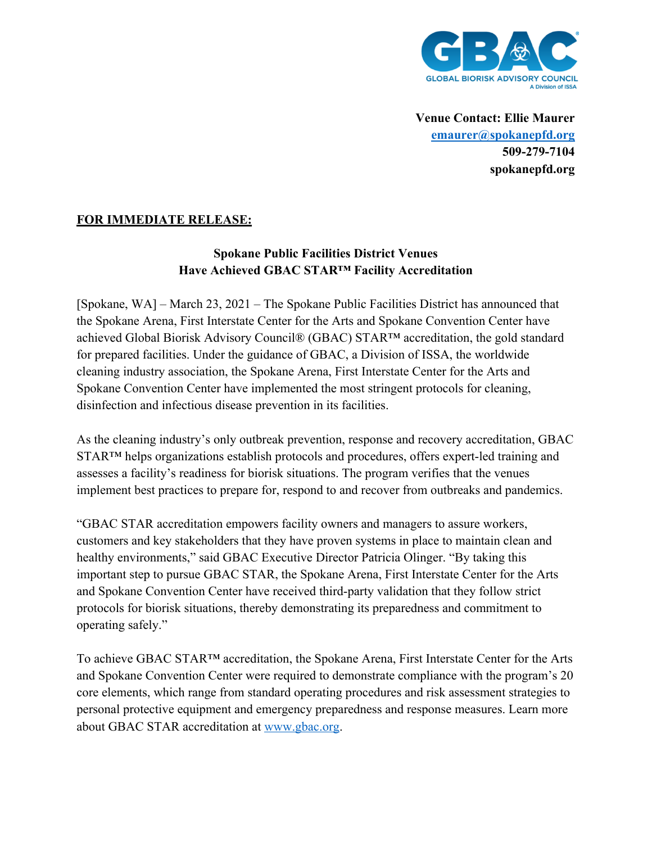

**Venue Contact: Ellie Maurer emaurer@spokanepfd.org 509-279-7104 spokanepfd.org**

# **FOR IMMEDIATE RELEASE:**

# **Spokane Public Facilities District Venues Have Achieved GBAC STAR™ Facility Accreditation**

[Spokane, WA] – March 23, 2021 – The Spokane Public Facilities District has announced that the Spokane Arena, First Interstate Center for the Arts and Spokane Convention Center have achieved Global Biorisk Advisory Council® (GBAC) STAR™ accreditation, the gold standard for prepared facilities. Under the guidance of GBAC, a Division of ISSA, the worldwide cleaning industry association, the Spokane Arena, First Interstate Center for the Arts and Spokane Convention Center have implemented the most stringent protocols for cleaning, disinfection and infectious disease prevention in its facilities.

As the cleaning industry's only outbreak prevention, response and recovery accreditation, GBAC STAR™ helps organizations establish protocols and procedures, offers expert-led training and assesses a facility's readiness for biorisk situations. The program verifies that the venues implement best practices to prepare for, respond to and recover from outbreaks and pandemics.

"GBAC STAR accreditation empowers facility owners and managers to assure workers, customers and key stakeholders that they have proven systems in place to maintain clean and healthy environments," said GBAC Executive Director Patricia Olinger. "By taking this important step to pursue GBAC STAR, the Spokane Arena, First Interstate Center for the Arts and Spokane Convention Center have received third-party validation that they follow strict protocols for biorisk situations, thereby demonstrating its preparedness and commitment to operating safely."

To achieve GBAC STAR™ accreditation, the Spokane Arena, First Interstate Center for the Arts and Spokane Convention Center were required to demonstrate compliance with the program's 20 core elements, which range from standard operating procedures and risk assessment strategies to personal protective equipment and emergency preparedness and response measures. Learn more about GBAC STAR accreditation at www.gbac.org.